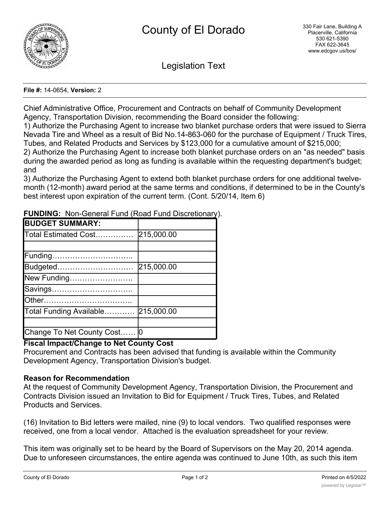

Legislation Text

## **File #:** 14-0654, **Version:** 2

Chief Administrative Office, Procurement and Contracts on behalf of Community Development Agency, Transportation Division, recommending the Board consider the following:

1) Authorize the Purchasing Agent to increase two blanket purchase orders that were issued to Sierra Nevada Tire and Wheel as a result of Bid No.14-863-060 for the purchase of Equipment / Truck Tires, Tubes, and Related Products and Services by \$123,000 for a cumulative amount of \$215,000;

2) Authorize the Purchasing Agent to increase both blanket purchase orders on an "as needed" basis during the awarded period as long as funding is available within the requesting department's budget; and

3) Authorize the Purchasing Agent to extend both blanket purchase orders for one additional twelvemonth (12-month) award period at the same terms and conditions, if determined to be in the County's best interest upon expiration of the current term. (Cont. 5/20/14, Item 6)

| <b>UNDING:</b> Non-Ochoran and productional Disordional y |            |
|-----------------------------------------------------------|------------|
| <b>BUDGET SUMMARY:</b>                                    |            |
| Total Estimated Cost                                      | 215,000.00 |
|                                                           |            |
| Funding                                                   |            |
| Budgeted                                                  | 215,000.00 |
| New Funding                                               |            |
| Savings                                                   |            |
|                                                           |            |
| Total Funding Available                                   | 215,000.00 |
|                                                           |            |
| Change To Net County Cost 0                               |            |

**FUNDING:** Non-General Fund (Road Fund Discretionary).

## **Fiscal Impact/Change to Net County Cost**

Procurement and Contracts has been advised that funding is available within the Community Development Agency, Transportation Division's budget.

## **Reason for Recommendation**

At the request of Community Development Agency, Transportation Division, the Procurement and Contracts Division issued an Invitation to Bid for Equipment / Truck Tires, Tubes, and Related Products and Services.

(16) Invitation to Bid letters were mailed, nine (9) to local vendors. Two qualified responses were received, one from a local vendor. Attached is the evaluation spreadsheet for your review.

This item was originally set to be heard by the Board of Supervisors on the May 20, 2014 agenda. Due to unforeseen circumstances, the entire agenda was continued to June 10th, as such this item